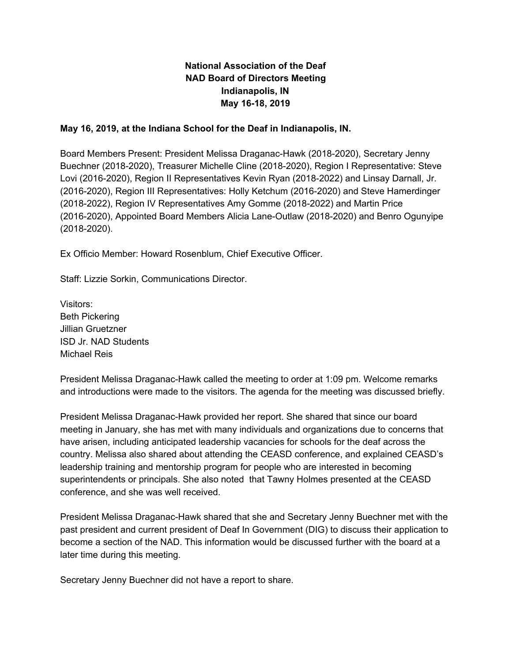# **National Association of the Deaf NAD Board of Directors Meeting Indianapolis, IN May 16-18, 2019**

### **May 16, 2019, at the Indiana School for the Deaf in Indianapolis, IN.**

Board Members Present: President Melissa Draganac-Hawk (2018-2020), Secretary Jenny Buechner (2018-2020), Treasurer Michelle Cline (2018-2020), Region I Representative: Steve Lovi (2016-2020), Region II Representatives Kevin Ryan (2018-2022) and Linsay Darnall, Jr. (2016-2020), Region III Representatives: Holly Ketchum (2016-2020) and Steve Hamerdinger (2018-2022), Region IV Representatives Amy Gomme (2018-2022) and Martin Price (2016-2020), Appointed Board Members Alicia Lane-Outlaw (2018-2020) and Benro Ogunyipe (2018-2020).

Ex Officio Member: Howard Rosenblum, Chief Executive Officer.

Staff: Lizzie Sorkin, Communications Director.

Visitors: Beth Pickering Jillian Gruetzner ISD Jr. NAD Students Michael Reis

President Melissa Draganac-Hawk called the meeting to order at 1:09 pm. Welcome remarks and introductions were made to the visitors. The agenda for the meeting was discussed briefly.

President Melissa Draganac-Hawk provided her report. She shared that since our board meeting in January, she has met with many individuals and organizations due to concerns that have arisen, including anticipated leadership vacancies for schools for the deaf across the country. Melissa also shared about attending the CEASD conference, and explained CEASD's leadership training and mentorship program for people who are interested in becoming superintendents or principals. She also noted that Tawny Holmes presented at the CEASD conference, and she was well received.

President Melissa Draganac-Hawk shared that she and Secretary Jenny Buechner met with the past president and current president of Deaf In Government (DIG) to discuss their application to become a section of the NAD. This information would be discussed further with the board at a later time during this meeting.

Secretary Jenny Buechner did not have a report to share.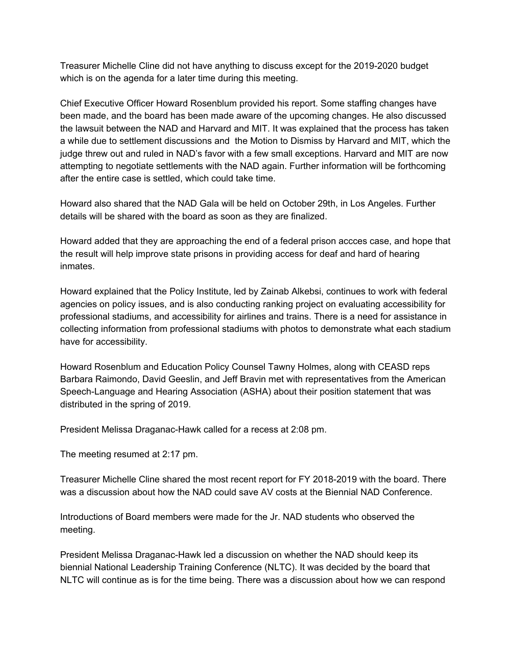Treasurer Michelle Cline did not have anything to discuss except for the 2019-2020 budget which is on the agenda for a later time during this meeting.

Chief Executive Officer Howard Rosenblum provided his report. Some staffing changes have been made, and the board has been made aware of the upcoming changes. He also discussed the lawsuit between the NAD and Harvard and MIT. It was explained that the process has taken a while due to settlement discussions and the Motion to Dismiss by Harvard and MIT, which the judge threw out and ruled in NAD's favor with a few small exceptions. Harvard and MIT are now attempting to negotiate settlements with the NAD again. Further information will be forthcoming after the entire case is settled, which could take time.

Howard also shared that the NAD Gala will be held on October 29th, in Los Angeles. Further details will be shared with the board as soon as they are finalized.

Howard added that they are approaching the end of a federal prison accces case, and hope that the result will help improve state prisons in providing access for deaf and hard of hearing inmates.

Howard explained that the Policy Institute, led by Zainab Alkebsi, continues to work with federal agencies on policy issues, and is also conducting ranking project on evaluating accessibility for professional stadiums, and accessibility for airlines and trains. There is a need for assistance in collecting information from professional stadiums with photos to demonstrate what each stadium have for accessibility.

Howard Rosenblum and Education Policy Counsel Tawny Holmes, along with CEASD reps Barbara Raimondo, David Geeslin, and Jeff Bravin met with representatives from the American Speech-Language and Hearing Association (ASHA) about their position statement that was distributed in the spring of 2019.

President Melissa Draganac-Hawk called for a recess at 2:08 pm.

The meeting resumed at 2:17 pm.

Treasurer Michelle Cline shared the most recent report for FY 2018-2019 with the board. There was a discussion about how the NAD could save AV costs at the Biennial NAD Conference.

Introductions of Board members were made for the Jr. NAD students who observed the meeting.

President Melissa Draganac-Hawk led a discussion on whether the NAD should keep its biennial National Leadership Training Conference (NLTC). It was decided by the board that NLTC will continue as is for the time being. There was a discussion about how we can respond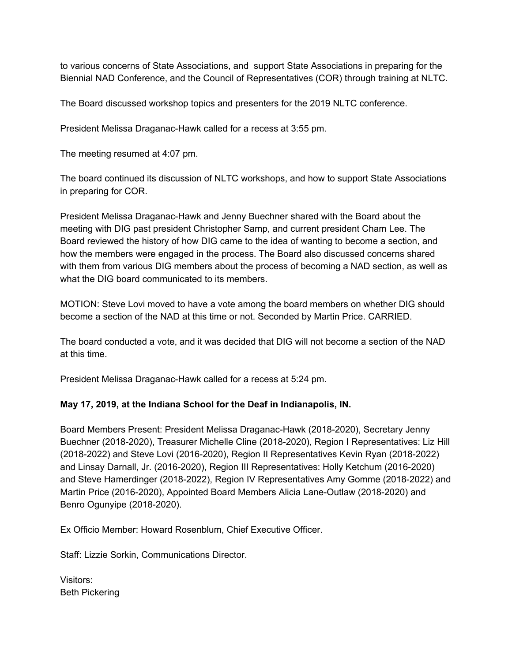to various concerns of State Associations, and support State Associations in preparing for the Biennial NAD Conference, and the Council of Representatives (COR) through training at NLTC.

The Board discussed workshop topics and presenters for the 2019 NLTC conference.

President Melissa Draganac-Hawk called for a recess at 3:55 pm.

The meeting resumed at 4:07 pm.

The board continued its discussion of NLTC workshops, and how to support State Associations in preparing for COR.

President Melissa Draganac-Hawk and Jenny Buechner shared with the Board about the meeting with DIG past president Christopher Samp, and current president Cham Lee. The Board reviewed the history of how DIG came to the idea of wanting to become a section, and how the members were engaged in the process. The Board also discussed concerns shared with them from various DIG members about the process of becoming a NAD section, as well as what the DIG board communicated to its members.

MOTION: Steve Lovi moved to have a vote among the board members on whether DIG should become a section of the NAD at this time or not. Seconded by Martin Price. CARRIED.

The board conducted a vote, and it was decided that DIG will not become a section of the NAD at this time.

President Melissa Draganac-Hawk called for a recess at 5:24 pm.

# **May 17, 2019, at the Indiana School for the Deaf in Indianapolis, IN.**

Board Members Present: President Melissa Draganac-Hawk (2018-2020), Secretary Jenny Buechner (2018-2020), Treasurer Michelle Cline (2018-2020), Region I Representatives: Liz Hill (2018-2022) and Steve Lovi (2016-2020), Region II Representatives Kevin Ryan (2018-2022) and Linsay Darnall, Jr. (2016-2020), Region III Representatives: Holly Ketchum (2016-2020) and Steve Hamerdinger (2018-2022), Region IV Representatives Amy Gomme (2018-2022) and Martin Price (2016-2020), Appointed Board Members Alicia Lane-Outlaw (2018-2020) and Benro Ogunyipe (2018-2020).

Ex Officio Member: Howard Rosenblum, Chief Executive Officer.

Staff: Lizzie Sorkin, Communications Director.

Visitors: Beth Pickering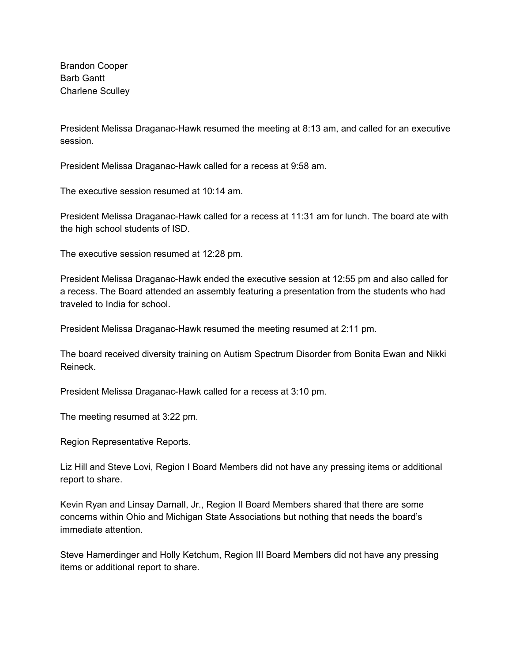Brandon Cooper Barb Gantt Charlene Sculley

President Melissa Draganac-Hawk resumed the meeting at 8:13 am, and called for an executive session.

President Melissa Draganac-Hawk called for a recess at 9:58 am.

The executive session resumed at 10:14 am.

President Melissa Draganac-Hawk called for a recess at 11:31 am for lunch. The board ate with the high school students of ISD.

The executive session resumed at 12:28 pm.

President Melissa Draganac-Hawk ended the executive session at 12:55 pm and also called for a recess. The Board attended an assembly featuring a presentation from the students who had traveled to India for school.

President Melissa Draganac-Hawk resumed the meeting resumed at 2:11 pm.

The board received diversity training on Autism Spectrum Disorder from Bonita Ewan and Nikki Reineck.

President Melissa Draganac-Hawk called for a recess at 3:10 pm.

The meeting resumed at 3:22 pm.

Region Representative Reports.

Liz Hill and Steve Lovi, Region I Board Members did not have any pressing items or additional report to share.

Kevin Ryan and Linsay Darnall, Jr., Region II Board Members shared that there are some concerns within Ohio and Michigan State Associations but nothing that needs the board's immediate attention.

Steve Hamerdinger and Holly Ketchum, Region III Board Members did not have any pressing items or additional report to share.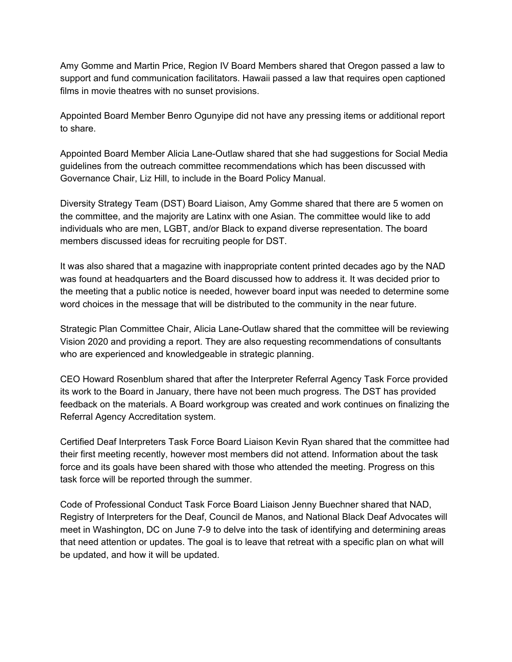Amy Gomme and Martin Price, Region IV Board Members shared that Oregon passed a law to support and fund communication facilitators. Hawaii passed a law that requires open captioned films in movie theatres with no sunset provisions.

Appointed Board Member Benro Ogunyipe did not have any pressing items or additional report to share.

Appointed Board Member Alicia Lane-Outlaw shared that she had suggestions for Social Media guidelines from the outreach committee recommendations which has been discussed with Governance Chair, Liz Hill, to include in the Board Policy Manual.

Diversity Strategy Team (DST) Board Liaison, Amy Gomme shared that there are 5 women on the committee, and the majority are Latinx with one Asian. The committee would like to add individuals who are men, LGBT, and/or Black to expand diverse representation. The board members discussed ideas for recruiting people for DST.

It was also shared that a magazine with inappropriate content printed decades ago by the NAD was found at headquarters and the Board discussed how to address it. It was decided prior to the meeting that a public notice is needed, however board input was needed to determine some word choices in the message that will be distributed to the community in the near future.

Strategic Plan Committee Chair, Alicia Lane-Outlaw shared that the committee will be reviewing Vision 2020 and providing a report. They are also requesting recommendations of consultants who are experienced and knowledgeable in strategic planning.

CEO Howard Rosenblum shared that after the Interpreter Referral Agency Task Force provided its work to the Board in January, there have not been much progress. The DST has provided feedback on the materials. A Board workgroup was created and work continues on finalizing the Referral Agency Accreditation system.

Certified Deaf Interpreters Task Force Board Liaison Kevin Ryan shared that the committee had their first meeting recently, however most members did not attend. Information about the task force and its goals have been shared with those who attended the meeting. Progress on this task force will be reported through the summer.

Code of Professional Conduct Task Force Board Liaison Jenny Buechner shared that NAD, Registry of Interpreters for the Deaf, Council de Manos, and National Black Deaf Advocates will meet in Washington, DC on June 7-9 to delve into the task of identifying and determining areas that need attention or updates. The goal is to leave that retreat with a specific plan on what will be updated, and how it will be updated.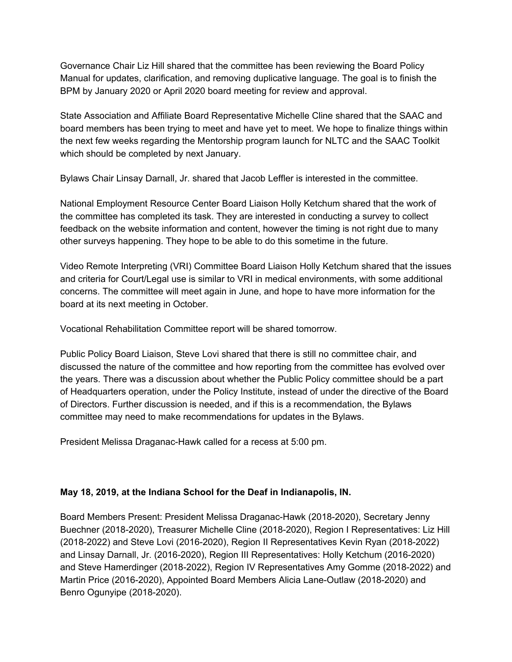Governance Chair Liz Hill shared that the committee has been reviewing the Board Policy Manual for updates, clarification, and removing duplicative language. The goal is to finish the BPM by January 2020 or April 2020 board meeting for review and approval.

State Association and Affiliate Board Representative Michelle Cline shared that the SAAC and board members has been trying to meet and have yet to meet. We hope to finalize things within the next few weeks regarding the Mentorship program launch for NLTC and the SAAC Toolkit which should be completed by next January.

Bylaws Chair Linsay Darnall, Jr. shared that Jacob Leffler is interested in the committee.

National Employment Resource Center Board Liaison Holly Ketchum shared that the work of the committee has completed its task. They are interested in conducting a survey to collect feedback on the website information and content, however the timing is not right due to many other surveys happening. They hope to be able to do this sometime in the future.

Video Remote Interpreting (VRI) Committee Board Liaison Holly Ketchum shared that the issues and criteria for Court/Legal use is similar to VRI in medical environments, with some additional concerns. The committee will meet again in June, and hope to have more information for the board at its next meeting in October.

Vocational Rehabilitation Committee report will be shared tomorrow.

Public Policy Board Liaison, Steve Lovi shared that there is still no committee chair, and discussed the nature of the committee and how reporting from the committee has evolved over the years. There was a discussion about whether the Public Policy committee should be a part of Headquarters operation, under the Policy Institute, instead of under the directive of the Board of Directors. Further discussion is needed, and if this is a recommendation, the Bylaws committee may need to make recommendations for updates in the Bylaws.

President Melissa Draganac-Hawk called for a recess at 5:00 pm.

# **May 18, 2019, at the Indiana School for the Deaf in Indianapolis, IN.**

Board Members Present: President Melissa Draganac-Hawk (2018-2020), Secretary Jenny Buechner (2018-2020), Treasurer Michelle Cline (2018-2020), Region I Representatives: Liz Hill (2018-2022) and Steve Lovi (2016-2020), Region II Representatives Kevin Ryan (2018-2022) and Linsay Darnall, Jr. (2016-2020), Region III Representatives: Holly Ketchum (2016-2020) and Steve Hamerdinger (2018-2022), Region IV Representatives Amy Gomme (2018-2022) and Martin Price (2016-2020), Appointed Board Members Alicia Lane-Outlaw (2018-2020) and Benro Ogunyipe (2018-2020).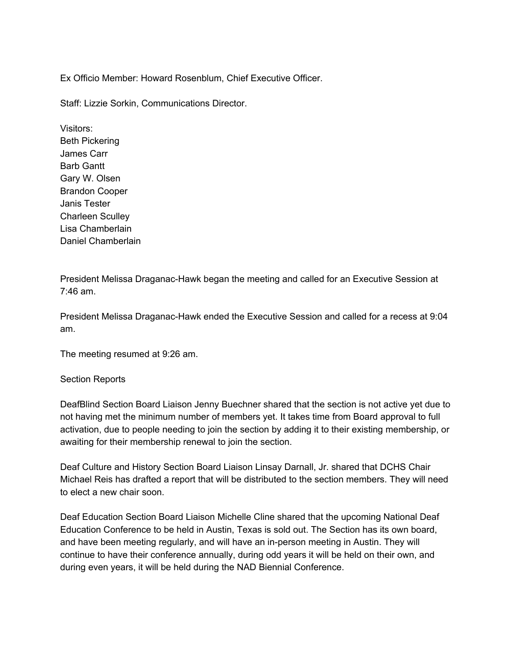Ex Officio Member: Howard Rosenblum, Chief Executive Officer.

Staff: Lizzie Sorkin, Communications Director.

Visitors: Beth Pickering James Carr Barb Gantt Gary W. Olsen Brandon Cooper Janis Tester Charleen Sculley Lisa Chamberlain Daniel Chamberlain

President Melissa Draganac-Hawk began the meeting and called for an Executive Session at 7:46 am.

President Melissa Draganac-Hawk ended the Executive Session and called for a recess at 9:04 am.

The meeting resumed at 9:26 am.

#### Section Reports

DeafBlind Section Board Liaison Jenny Buechner shared that the section is not active yet due to not having met the minimum number of members yet. It takes time from Board approval to full activation, due to people needing to join the section by adding it to their existing membership, or awaiting for their membership renewal to join the section.

Deaf Culture and History Section Board Liaison Linsay Darnall, Jr. shared that DCHS Chair Michael Reis has drafted a report that will be distributed to the section members. They will need to elect a new chair soon.

Deaf Education Section Board Liaison Michelle Cline shared that the upcoming National Deaf Education Conference to be held in Austin, Texas is sold out. The Section has its own board, and have been meeting regularly, and will have an in-person meeting in Austin. They will continue to have their conference annually, during odd years it will be held on their own, and during even years, it will be held during the NAD Biennial Conference.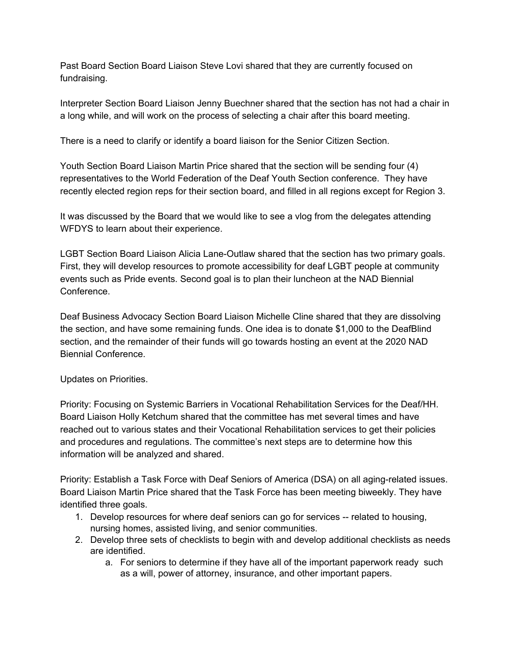Past Board Section Board Liaison Steve Lovi shared that they are currently focused on fundraising.

Interpreter Section Board Liaison Jenny Buechner shared that the section has not had a chair in a long while, and will work on the process of selecting a chair after this board meeting.

There is a need to clarify or identify a board liaison for the Senior Citizen Section.

Youth Section Board Liaison Martin Price shared that the section will be sending four (4) representatives to the World Federation of the Deaf Youth Section conference. They have recently elected region reps for their section board, and filled in all regions except for Region 3.

It was discussed by the Board that we would like to see a vlog from the delegates attending WFDYS to learn about their experience.

LGBT Section Board Liaison Alicia Lane-Outlaw shared that the section has two primary goals. First, they will develop resources to promote accessibility for deaf LGBT people at community events such as Pride events. Second goal is to plan their luncheon at the NAD Biennial Conference.

Deaf Business Advocacy Section Board Liaison Michelle Cline shared that they are dissolving the section, and have some remaining funds. One idea is to donate \$1,000 to the DeafBlind section, and the remainder of their funds will go towards hosting an event at the 2020 NAD Biennial Conference.

Updates on Priorities.

Priority: Focusing on Systemic Barriers in Vocational Rehabilitation Services for the Deaf/HH. Board Liaison Holly Ketchum shared that the committee has met several times and have reached out to various states and their Vocational Rehabilitation services to get their policies and procedures and regulations. The committee's next steps are to determine how this information will be analyzed and shared.

Priority: Establish a Task Force with Deaf Seniors of America (DSA) on all aging-related issues. Board Liaison Martin Price shared that the Task Force has been meeting biweekly. They have identified three goals.

- 1. Develop resources for where deaf seniors can go for services -- related to housing, nursing homes, assisted living, and senior communities.
- 2. Develop three sets of checklists to begin with and develop additional checklists as needs are identified.
	- a. For seniors to determine if they have all of the important paperwork ready such as a will, power of attorney, insurance, and other important papers.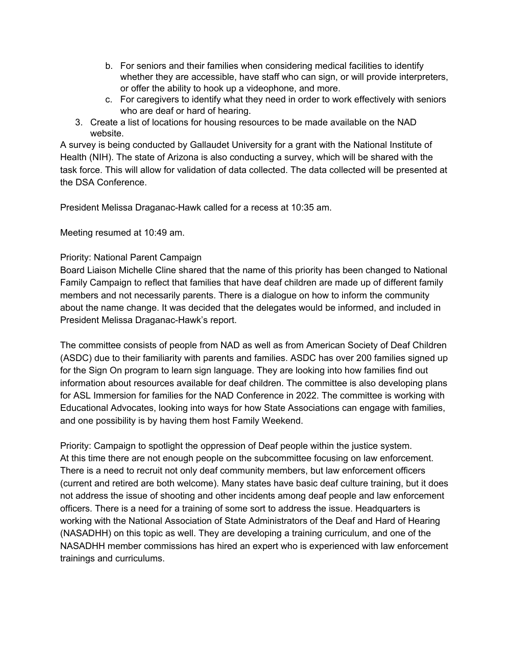- b. For seniors and their families when considering medical facilities to identify whether they are accessible, have staff who can sign, or will provide interpreters, or offer the ability to hook up a videophone, and more.
- c. For caregivers to identify what they need in order to work effectively with seniors who are deaf or hard of hearing.
- 3. Create a list of locations for housing resources to be made available on the NAD website.

A survey is being conducted by Gallaudet University for a grant with the National Institute of Health (NIH). The state of Arizona is also conducting a survey, which will be shared with the task force. This will allow for validation of data collected. The data collected will be presented at the DSA Conference.

President Melissa Draganac-Hawk called for a recess at 10:35 am.

Meeting resumed at 10:49 am.

### Priority: National Parent Campaign

Board Liaison Michelle Cline shared that the name of this priority has been changed to National Family Campaign to reflect that families that have deaf children are made up of different family members and not necessarily parents. There is a dialogue on how to inform the community about the name change. It was decided that the delegates would be informed, and included in President Melissa Draganac-Hawk's report.

The committee consists of people from NAD as well as from American Society of Deaf Children (ASDC) due to their familiarity with parents and families. ASDC has over 200 families signed up for the Sign On program to learn sign language. They are looking into how families find out information about resources available for deaf children. The committee is also developing plans for ASL Immersion for families for the NAD Conference in 2022. The committee is working with Educational Advocates, looking into ways for how State Associations can engage with families, and one possibility is by having them host Family Weekend.

Priority: Campaign to spotlight the oppression of Deaf people within the justice system. At this time there are not enough people on the subcommittee focusing on law enforcement. There is a need to recruit not only deaf community members, but law enforcement officers (current and retired are both welcome). Many states have basic deaf culture training, but it does not address the issue of shooting and other incidents among deaf people and law enforcement officers. There is a need for a training of some sort to address the issue. Headquarters is working with the National Association of State Administrators of the Deaf and Hard of Hearing (NASADHH) on this topic as well. They are developing a training curriculum, and one of the NASADHH member commissions has hired an expert who is experienced with law enforcement trainings and curriculums.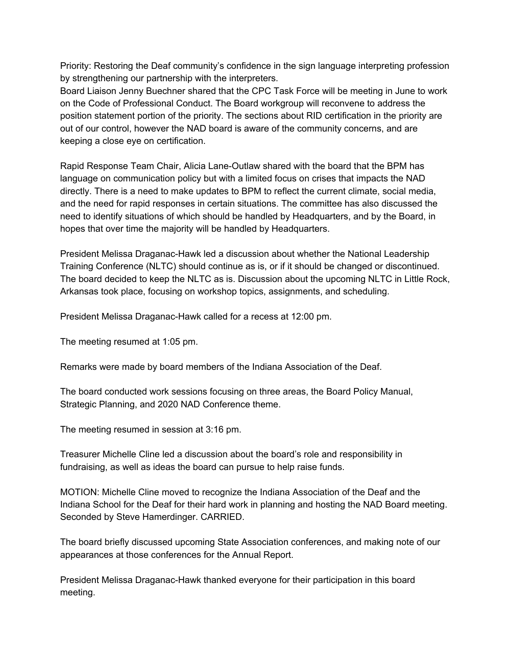Priority: Restoring the Deaf community's confidence in the sign language interpreting profession by strengthening our partnership with the interpreters.

Board Liaison Jenny Buechner shared that the CPC Task Force will be meeting in June to work on the Code of Professional Conduct. The Board workgroup will reconvene to address the position statement portion of the priority. The sections about RID certification in the priority are out of our control, however the NAD board is aware of the community concerns, and are keeping a close eye on certification.

Rapid Response Team Chair, Alicia Lane-Outlaw shared with the board that the BPM has language on communication policy but with a limited focus on crises that impacts the NAD directly. There is a need to make updates to BPM to reflect the current climate, social media, and the need for rapid responses in certain situations. The committee has also discussed the need to identify situations of which should be handled by Headquarters, and by the Board, in hopes that over time the majority will be handled by Headquarters.

President Melissa Draganac-Hawk led a discussion about whether the National Leadership Training Conference (NLTC) should continue as is, or if it should be changed or discontinued. The board decided to keep the NLTC as is. Discussion about the upcoming NLTC in Little Rock, Arkansas took place, focusing on workshop topics, assignments, and scheduling.

President Melissa Draganac-Hawk called for a recess at 12:00 pm.

The meeting resumed at 1:05 pm.

Remarks were made by board members of the Indiana Association of the Deaf.

The board conducted work sessions focusing on three areas, the Board Policy Manual, Strategic Planning, and 2020 NAD Conference theme.

The meeting resumed in session at 3:16 pm.

Treasurer Michelle Cline led a discussion about the board's role and responsibility in fundraising, as well as ideas the board can pursue to help raise funds.

MOTION: Michelle Cline moved to recognize the Indiana Association of the Deaf and the Indiana School for the Deaf for their hard work in planning and hosting the NAD Board meeting. Seconded by Steve Hamerdinger. CARRIED.

The board briefly discussed upcoming State Association conferences, and making note of our appearances at those conferences for the Annual Report.

President Melissa Draganac-Hawk thanked everyone for their participation in this board meeting.